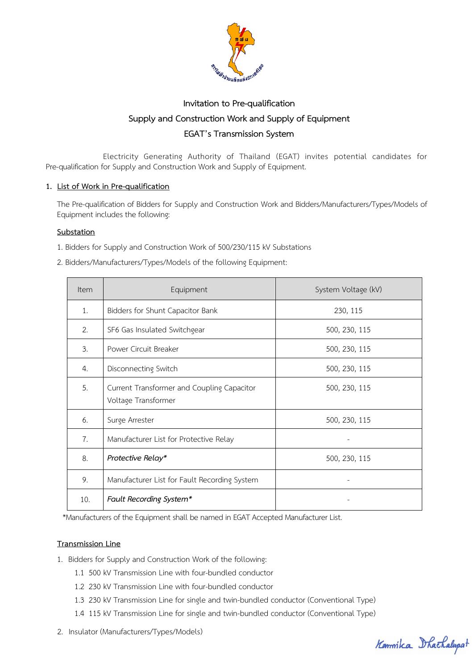

# **Invitation to Pre-qualification Supply and Construction Work and Supply of Equipment EGAT's Transmission System**

Electricity Generating Authority of Thailand (EGAT) invites potential candidates for Pre-qualification for Supply and Construction Work and Supply of Equipment.

# **1. List of Work in Pre-qualification**

The Pre-qualification of Bidders for Supply and Construction Work and Bidders/Manufacturers/Types/Models of Equipment includes the following:

# **Substation**

- 1. Bidders for Supply and Construction Work of 500/230/115 kV Substations
- 2. Bidders/Manufacturers/Types/Models of the following Equipment:

| <b>Item</b>    | Equipment                                                         | System Voltage (kV) |
|----------------|-------------------------------------------------------------------|---------------------|
| 1.             | Bidders for Shunt Capacitor Bank                                  | 230, 115            |
| 2.             | SF6 Gas Insulated Switchgear                                      | 500, 230, 115       |
| 3.             | Power Circuit Breaker                                             | 500, 230, 115       |
| 4.             | Disconnecting Switch                                              | 500, 230, 115       |
| 5.             | Current Transformer and Coupling Capacitor<br>Voltage Transformer | 500, 230, 115       |
| 6.             | Surge Arrester                                                    | 500, 230, 115       |
| 7 <sub>1</sub> | Manufacturer List for Protective Relay                            |                     |
| 8.             | Protective Relay*                                                 | 500, 230, 115       |
| 9.             | Manufacturer List for Fault Recording System                      |                     |
| 10.            | Fault Recording System*                                           |                     |

\*Manufacturers of the Equipment shall be named in EGAT Accepted Manufacturer List.

## **Transmission Line**

- 1. Bidders for Supply and Construction Work of the following:
	- 1.1 500 kV Transmission Line with four-bundled conductor
	- 1.2 230 kV Transmission Line with four-bundled conductor
	- 1.3 230 kV Transmission Line for single and twin-bundled conductor (Conventional Type)
	- 1.4 115 kV Transmission Line for single and twin-bundled conductor (Conventional Type)
- 2. Insulator (Manufacturers/Types/Models)

Kommika Dhachalupat